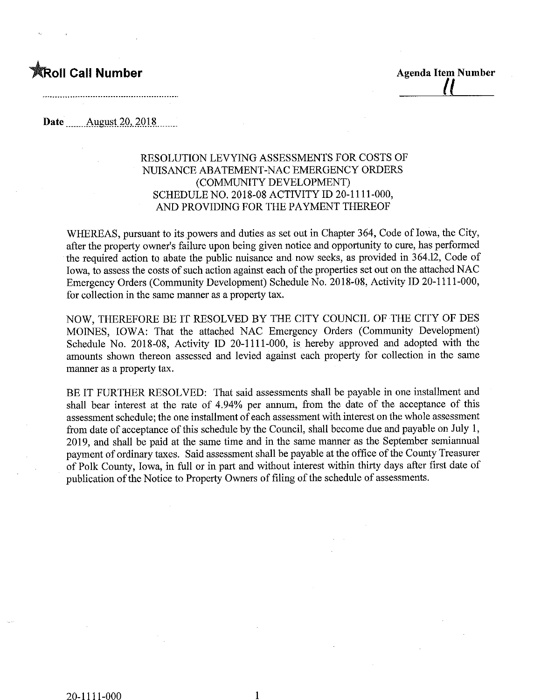## toll Call Number and the Agenda Item Number

## Date ........August 2Q,.2018,

## RESOLUTION LEVYING ASSESSMENTS FOR COSTS OF NUISANCE ABATEMENT-NAC EMERGENCY ORDERS (COMMUNITY DEVELOPMENT) SCHEDULENO. 2018-08 ACTIVITY ID 20-1111-000, AND PROVIDING FOR THE PAYMENT THEREOF

WHEREAS, pursuant to its powers and duties as set out in Chapter 364, Code of Iowa, the City, after the property owner's failure upon being given notice and opportunity to cure, has performed the required action to abate the public nuisance and now seeks, as provided in 364.12, Code of Iowa, to assess the costs of such action against each of the properties set out on the attached NAC Emergency Orders (Community Development) Schedule No. 2018-08, Activity ID 20-1 111-000, for collection in the same manner as a property tax.

NOW, THEREFORE BE IT RESOLVED BY THE CITY COUNCIL OF THE CITY OF DES MOINES, IOWA: That the attached NAC Emergency Orders (Community Development) Schedule No. 2018-08, Activity ID 20-1111-000, is hereby approved and adopted with the amounts shown thereon assessed and levied against each property for collection in the same manner as a property tax.

BE IT FURTHER RESOLVED: That said assessments shall be payable in one installment and shall bear interest at the rate of 4.94% per annum, from the date of the acceptance of this assessment schedule; the one installment of each assessment with interest on the whole assessment from date of acceptance of this schedule by the Council, shall become due and payable on July 1, 2019, and shall be paid at the same time and in the same manner as the September semiannual payment of ordinary taxes. Said assessment shall be payable at the office of the County Treasurer of Polk County, Iowa, in full or in part and without interest within thirty days after first date of publication of the Notice to Property Owners of filing of the schedule of assessments.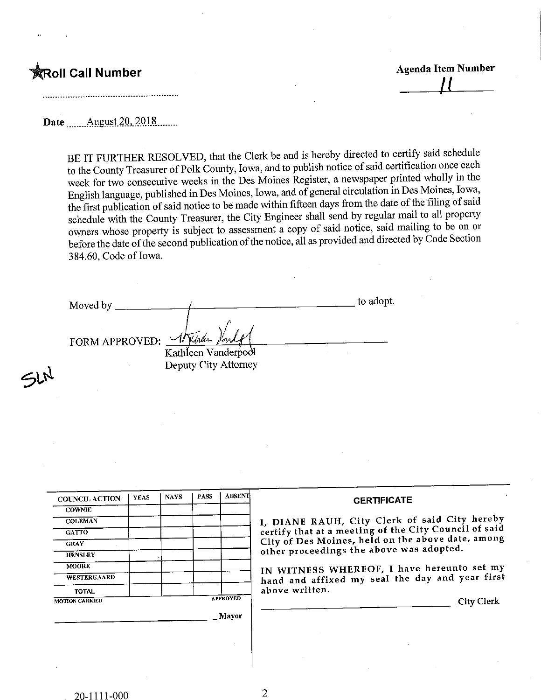ごひ

**the Call Number Agenda Item Number Agenda Item Number**  $\overline{a}$ 

Date ........August 2Q,.2Q18,

BE IT FURTHER RESOLVED, that the Clerk be and is hereby directed to certify said schedule to the County Treasurer of Polk County, Iowa, and to publish notice of said certification once each week for two consecutive weeks in the Des Moines Register, a newspaper printed wholly in the English language, published in Des Moines, Iowa, and of general circulation in Des Moines, Iowa, the first publication of said notice to be made within fifteen days from the date of the filing of said schedule with the County Treasurer, the City Engineer shall send by regular mail to all property owners whose property is subject to assessment a copy of said notice, said mailing to be on or before the date of the second publication of the notice, all as provided and directed by Code Section 3 84.60, Code of Iowa.

Moved by FORM APPROVED: 4 to adopt. Kathleen Vanderpool Deputy City Attorney

| <b>COUNCIL ACTION</b>              | <b>YEAS</b> | <b>NAYS</b> | <b>PASS</b> | <b>ABSENT</b>   | <b>CERTIFICATE</b>                                                                                     |
|------------------------------------|-------------|-------------|-------------|-----------------|--------------------------------------------------------------------------------------------------------|
| <b>COWNIE</b><br><b>COLEMAN</b>    |             |             |             |                 | I, DIANE RAUH, City Clerk of said City hereby<br>certify that at a meeting of the City Council of said |
| <b>GATTO</b><br><b>GRAY</b>        |             |             |             |                 | City of Des Moines, held on the above date, among                                                      |
| <b>HENSLEY</b>                     |             |             |             |                 | other proceedings the above was adopted.                                                               |
| <b>MOORE</b><br><b>WESTERGAARD</b> |             |             |             |                 | IN WITNESS WHEREOF, I have hereunto set my<br>hand and affixed my seal the day and year first          |
| TOTAL                              |             |             |             | <b>APPROVED</b> | above written.                                                                                         |
| <b>MOTION CARRIED</b>              |             |             |             | Mayor           | <b>City Clerk</b>                                                                                      |
|                                    |             |             |             |                 |                                                                                                        |
|                                    |             |             |             |                 |                                                                                                        |

 $\overline{2}$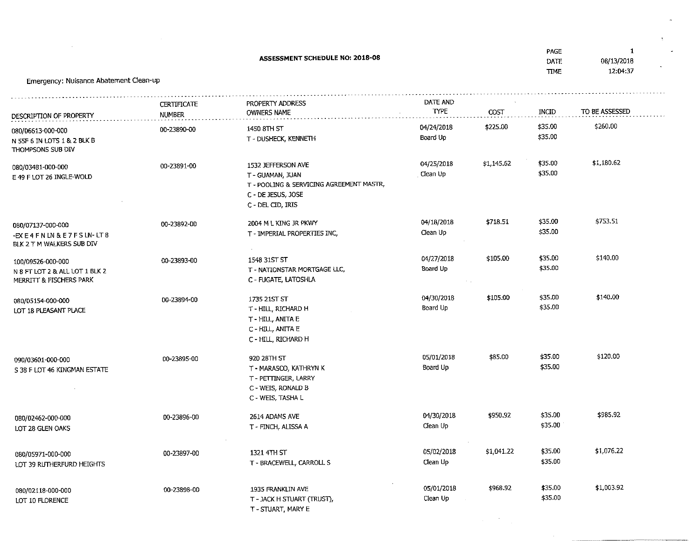|                                                                                |                                     | <b>ASSESSMENT SCHEDULE NO: 2018-08</b>                                                                                        |                         |            | PAGE<br>DATE<br><b>TIME</b> | $\mathbf{1}$<br>08/13/2018<br>12:04:37 |
|--------------------------------------------------------------------------------|-------------------------------------|-------------------------------------------------------------------------------------------------------------------------------|-------------------------|------------|-----------------------------|----------------------------------------|
| Emergency: Nuisance Abatement Clean-up                                         |                                     |                                                                                                                               |                         |            |                             |                                        |
| DESCRIPTION OF PROPERTY                                                        | <b>CERTIFICATE</b><br><b>NUMBER</b> | PROPERTY ADDRESS<br>OWNERS NAME                                                                                               | DATE AND<br><b>TYPE</b> | COST       | INCID                       | TO BE ASSESSED                         |
| 080/06613-000-000<br>N 55F 6 IN LOTS 1 & 2 BLK B<br>THOMPSONS SUB DIV          | 00-23890-00                         | 1450 8TH ST<br>T - DUSHECK, KENNETH                                                                                           | 04/24/2018<br>Board Up  | \$225.00   | \$35.00<br>\$35.00          | \$260.00                               |
| 080/03481-000-000<br>E 49 F LOT 26 INGLE-WOLD                                  | 00-23891-00                         | 1532 JEFFERSON AVE<br>T - GUAMAN, JUAN<br>T - POOLING & SERVICING AGREEMENT MASTR,<br>C - DE JESUS, JOSE<br>C - DEL CID, IRIS | 04/25/2018<br>Clean Up  | \$1,145.62 | \$35.00<br>\$35.00          | \$1,180.62                             |
| 080/07137-000-000<br>-EXE4 FNLN & E7 FSLN-LT8<br>BLK 2 T M WALKERS SUB DIV     | 00-23892-00                         | 2004 M L KING JR PKWY<br>T - IMPERIAL PROPERTIES INC,                                                                         | 04/18/2018<br>Clean Up  | \$718.51   | \$35.00<br>\$35.00          | \$753.51                               |
| 100/09526-000-000<br>N 8 FT LOT 2 & ALL LOT 1 BLK 2<br>MERRITT & FISCHERS PARK | 00-23893-00                         | 1548 31ST ST<br>T - NATIONSTAR MORTGAGE LLC,<br>C - FUGATE, LATOSHLA                                                          | 04/27/2018<br>Board Up  | \$105.00   | \$35.00<br>\$35.00          | \$140.00                               |
| 080/05154-000-000<br>LOT 18 PLEASANT PLACE                                     | 00-23894-00                         | 1735 21ST ST<br>T - HILL, RICHARD H<br>T - HILL, ANITA E<br>C - HILL, ANITA E<br>C - HILL, RICHARD H                          | 04/30/2018<br>Board Up  | \$105.00   | \$35.00<br>\$35.00          | \$140.00                               |
| 090/03601-000-000<br>S 38 F LOT 46 KINGMAN ESTATE                              | 00-23895-00                         | 920 28TH ST<br>T - MARASCO, KATHRYN K<br>T - PETTINGER, LARRY<br>C - WEIS, RONALD B<br>C - WEIS, TASHA L                      | 05/01/2018<br>Board Up  | \$85.00    | \$35.00<br>\$35.00          | \$120.00                               |
| 080/02462-000-000<br>LOT 28 GLEN OAKS                                          | 00-23896-00                         | 2614 ADAMS AVE<br>T - FINCH, ALISSA A                                                                                         | 04/30/2018<br>Clean Up  | \$950.92   | \$35.00<br>\$35.00          | \$985.92                               |
| 080/05971-000-000<br>LOT 39 RUTHERFURD HEIGHTS                                 | 00-23897-00                         | 1321 4TH ST<br>T - BRACEWELL, CARROLL S                                                                                       | 05/02/2018<br>Clean Up  | \$1,041.22 | \$35.00<br>\$35.00          | \$1,076,22                             |
| 080/02118-000-000<br>LOT 10 FLORENCE                                           | 00-23898-00                         | 1935 FRANKLIN AVE<br>T - JACK H STUART (TRUST),<br>T - STUART, MARY E                                                         | 05/01/2018<br>Clean Up  | \$968.92   | \$35.00<br>\$35.00          | \$1,003.92                             |

 $\sim 100$  km s  $^{-1}$ 

 $\sigma_{\rm{max}}$ 

 $\mathcal{L}(\mathcal{L}^{\text{max}}_{\mathcal{L}})$  ,  $\mathcal{L}^{\text{max}}_{\mathcal{L}}$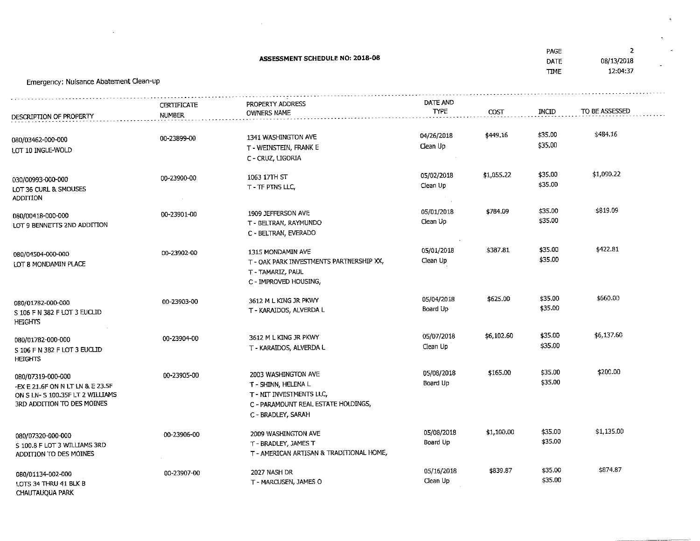| ASSESSMENT SCHEDULE NO: 2018-08<br>Emergency: Nuisance Abatement Clean-up                                               |                              |                                                                                                               |                         |            |                    | $\mathbf{z}$<br>08/13/2018<br>12:04:37 |
|-------------------------------------------------------------------------------------------------------------------------|------------------------------|---------------------------------------------------------------------------------------------------------------|-------------------------|------------|--------------------|----------------------------------------|
| DESCRIPTION OF PROPERTY                                                                                                 | <b>CERTIFICATE</b><br>NUMBER | PROPERTY ADDRESS<br>OWNERS NAME                                                                               | DATE AND<br><b>TYPE</b> | COST       | INCID              | TO BE ASSESSED                         |
| 080/03462-000-000<br>LOT 10 INGLE-WOLD                                                                                  | 00-23899-00                  | 1341 WASHINGTON AVE<br>T - WEINSTEIN, FRANK E<br>C - CRUZ, LIGORIA                                            | 04/26/2018<br>Clean Up  | \$449.16   | \$35.00<br>\$35.00 | \$484.16                               |
| 030/00993-000-000<br>LOT 36 CURL & SMOUSES<br><b>ADDITION</b>                                                           | 00-23900-00                  | 1063 17TH ST<br>T-TF PTNS LLC,                                                                                | 05/02/2018<br>Clean Up  | \$1,055.22 | \$35.00<br>\$35.00 | \$1,090.22                             |
| 080/00418-000-000<br>LOT 9 BENNETTS 2ND ADDITION                                                                        | 00-23901-00                  | 1909 JEFFERSON AVE<br>T - BELTRAN, RAYMUNDO<br>C - BELTRAN, EVERADO                                           | 05/01/2018<br>Clean Up  | \$784.09   | \$35.00<br>\$35.00 | \$819.09                               |
| 080/04504-000-000<br>LOT 8 MONDAMIN PLACE                                                                               | 00-23902-00                  | 1315 MONDAMIN AVE<br>T - OAK PARK INVESTMENTS PARTNERSHIP XX,<br>T - TAMARIZ, PAUL<br>C - IMPROVED HOUSING,   | 05/01/2018<br>Clean Up  | \$387.81   | \$35.00<br>\$35.00 | \$422.81                               |
| 080/01782-000-000<br>S 106 F N 382 F LOT 3 EUCLID<br><b>HEIGHTS</b>                                                     | 00-23903-00                  | 3612 M L KING JR PKWY<br>T - KARAIDOS, ALVERDA L                                                              | 05/04/2018<br>Board Up  | \$625.00   | \$35.00<br>\$35.00 | \$660.00                               |
| 080/01782-000-000<br>S 106 F N 382 F LOT 3 EUCLID<br><b>HEIGHTS</b>                                                     | 00-23904-00                  | 3612 M L KING JR PKWY<br>T - KARAIDOS, ALVERDA L                                                              | 05/07/2018<br>Clean Up  | \$6,102.60 | \$35.00<br>\$35.00 | \$6,137.60                             |
| 080/07319-000-000<br>-EX E 21.6F ON N LT LN & E 23.5F<br>ON S LN- S 100.35F LT 2 WILLIAMS<br>3RD ADDITION TO DES MOINES | 00-23905-00                  | 2003 WASHINGTON AVE<br>T - SHINN, HELENA L<br>T - NIT INVESTMENTS LLC,<br>C - PARAMOUNT REAL ESTATE HOLDINGS, | 05/08/2018<br>Board Up  | \$165.00   | \$35.00<br>\$35.00 | \$200.00                               |

 $\label{eq:2.1} \mathcal{L}(\mathcal{L}^{\text{max}}_{\mathcal{L}}(\mathcal{L}^{\text{max}}_{\mathcal{L}}(\mathcal{L}^{\text{max}}_{\mathcal{L}}(\mathcal{L}^{\text{max}}_{\mathcal{L}^{\text{max}}_{\mathcal{L}}(\mathcal{L}^{\text{max}}_{\mathcal{L}^{\text{max}}_{\mathcal{L}^{\text{max}}_{\mathcal{L}^{\text{max}}_{\mathcal{L}^{\text{max}}_{\mathcal{L}^{\text{max}}_{\mathcal{L}^{\text{max}}_{\mathcal{L}^{\text{max}}_{\mathcal{L}^{\text{max}}$ 

 $\mathcal{L}^{\text{max}}_{\text{max}}$  and  $\mathcal{L}^{\text{max}}_{\text{max}}$ 

|                                                                             |             | C - BRADLEY, SARAH                                                                      |                        |            |                    |            |
|-----------------------------------------------------------------------------|-------------|-----------------------------------------------------------------------------------------|------------------------|------------|--------------------|------------|
| 080/07320-000-000<br>S 100.8 F LOT 3 WILLIAMS 3RD<br>ADDITION TO DES MOINES | 00-23906-00 | 2009 WASHINGTON AVE<br>T - BRADLEY, JAMES T<br>T - AMERICAN ARTISAN & TRADITIONAL HOME, | 05/08/2018<br>Board Up | \$1,100.00 | \$35.00<br>\$35,00 | \$1.135.00 |
| 080/01134-002-000<br>LOTS 34 THRU 41 BLK B                                  | 00-23907-00 | 2027 NASH DR<br>T - MARCUSEN, JAMES O                                                   | 05/16/2018<br>Clean Up | \$839.87   | \$35.00<br>\$35.00 | \$874,87   |

CHAUTAUQUA PARK

 $\theta_{\rm c}$ 

 $\Delta \sim 1$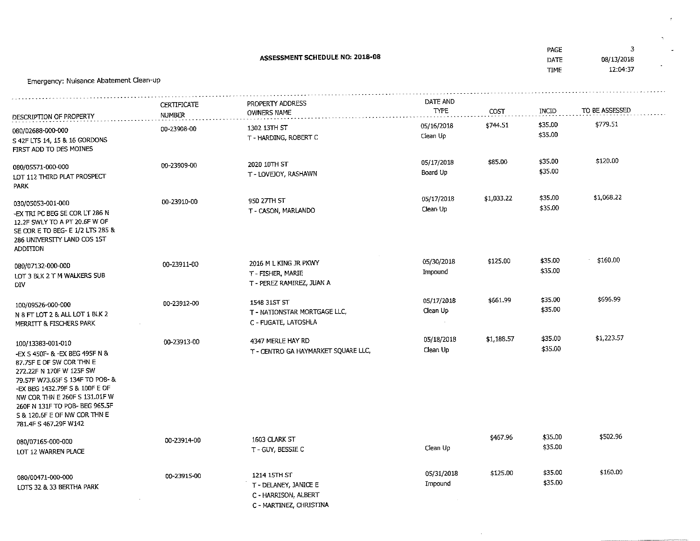|                                                                                                                                                                                                                                                                                                              |                                     | ASSESSMENT SCHEDULE NO: 2018-08                                                       |                        |            | PAGE<br>DATE<br><b>TIME</b> | 3<br>08/13/2018<br>12:04:37 |
|--------------------------------------------------------------------------------------------------------------------------------------------------------------------------------------------------------------------------------------------------------------------------------------------------------------|-------------------------------------|---------------------------------------------------------------------------------------|------------------------|------------|-----------------------------|-----------------------------|
| Emergency: Nuisance Abatement Clean-up                                                                                                                                                                                                                                                                       |                                     |                                                                                       |                        |            |                             |                             |
| DESCRIPTION OF PROPERTY                                                                                                                                                                                                                                                                                      | <b>CERTIFICATE</b><br><b>NUMBER</b> | PROPERTY ADDRESS<br>OWNERS NAME                                                       | DATE AND<br>TYPE       | COST       | INCID                       | TO BE ASSESSED              |
| 080/02688-000-000<br>S 42F LTS 14, 15 & 16 GORDONS<br>FIRST ADD TO DES MOINES                                                                                                                                                                                                                                | 00-23908-00                         | 1302 13TH ST<br>T - HARDING, ROBERT C                                                 | 05/16/2018<br>Clean Up | \$744.51   | \$35.00<br>\$35.00          | \$779.51                    |
| 080/05571-000-000<br>LOT 112 THIRD PLAT PROSPECT<br>PARK                                                                                                                                                                                                                                                     | 00-23909-00                         | 2020 10TH ST<br>T - LOVEJOY, RASHAWN                                                  | 05/17/2018<br>Board Up | \$85.00    | \$35.00<br>\$35.00          | \$120.00                    |
| 030/05053-001-000<br>-EX TRI PC BEG SE COR LT 286 N<br>12.2F SWLY TO A PT 20.6F W OF<br>SE COR E TO BEG- E 1/2 LTS 285 &<br>286 UNIVERSITY LAND COS 1ST<br>ADDITION                                                                                                                                          | 00-23910-00                         | 950 27TH ST<br>T - CASON, MARLANDO                                                    | 05/17/2018<br>Clean Up | \$1,033.22 | \$35.00<br>\$35.00          | \$1,068.22                  |
| 080/07132-000-000<br>LOT 3 BLK 2 T M WALKERS SUB<br>DIV.                                                                                                                                                                                                                                                     | 00-23911-00                         | 2016 M L KING JR PKWY<br>T - FISHER, MARIE<br>T - PEREZ RAMIREZ, JUAN A               | 05/30/2018<br>Impound  | \$125,00   | \$35,00<br>\$35.00          | \$160.00                    |
| 100/09526-000-000<br>N 8 FT LOT 2 & ALL LOT 1 BLK 2<br>MERRITT & FISCHERS PARK                                                                                                                                                                                                                               | 00-23912-00                         | 1548 31ST ST<br>T - NATIONSTAR MORTGAGE LLC,<br>C - FUGATE, LATOSHLA                  | 05/17/2018<br>Clean Up | \$661.99   | \$35.00<br>\$35.00          | \$696.99                    |
| 100/13383-001-010<br>-EX S 450F- & -EX BEG 495F N &<br>87.75F E OF SW COR THN E<br>272.22F N 170F W 125F SW<br>79.57F W73.65F S 134F TO POB- &<br>-EX BEG 1432.79F S & 100F E OF<br>NW COR THN E 260F S 131.01F W<br>260F N 131F TO POB- BEG 965.5F<br>S & 120.6F E OF NW COR THN E<br>781.4F S 467.29F W142 | 00-23913-00                         | 4347 MERLE HAY RD<br>T - CENTRO GA HAYMARKET SQUARE LLC,                              | 05/18/2018<br>Clean Up | \$1,188.57 | \$35.00<br>\$35.00          | \$1,223.57                  |
| 080/07165-000-000<br>LOT 12 WARREN PLACE                                                                                                                                                                                                                                                                     | 00-23914-00                         | 1603 CLARK ST<br>T - GUY, BESSIE C                                                    | Clean Up               | \$467.96   | \$35.00<br>\$35.00          | \$502.96                    |
| 080/00471-000-000<br>LOTS 32 & 33 BERTHA PARK                                                                                                                                                                                                                                                                | 00-23915-00                         | 1214 15TH ST<br>T - DELANEY, JANICE E<br>C - HARRISON, ALBERT<br>C MARTINEZ CURTICITY | 05/31/2018<br>Impound  | \$125.00   | \$35.00<br>\$35.00          | \$160.00                    |

 $\sim$ 

 $\sim$   $\pm$ 

 $\sigma_{\rm c}$ 

C- MARTIN EZ, CHRISTINA